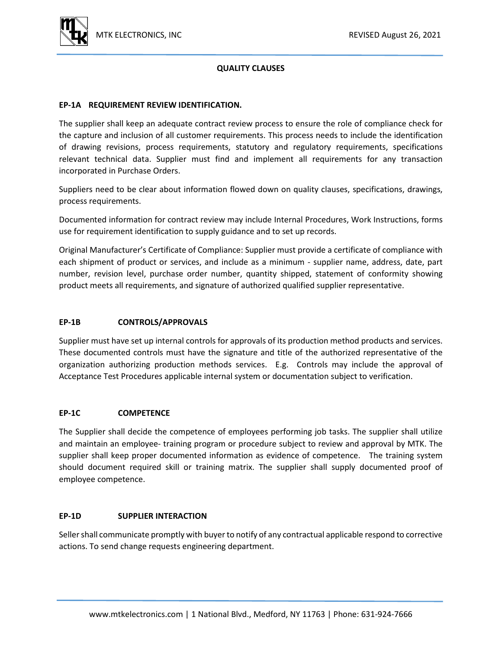

# **QUALITY CLAUSES**

## **EP-1A REQUIREMENT REVIEW IDENTIFICATION.**

The supplier shall keep an adequate contract review process to ensure the role of compliance check for the capture and inclusion of all customer requirements. This process needs to include the identification of drawing revisions, process requirements, statutory and regulatory requirements, specifications relevant technical data. Supplier must find and implement all requirements for any transaction incorporated in Purchase Orders.

Suppliers need to be clear about information flowed down on quality clauses, specifications, drawings, process requirements.

Documented information for contract review may include Internal Procedures, Work Instructions, forms use for requirement identification to supply guidance and to set up records.

Original Manufacturer's Certificate of Compliance: Supplier must provide a certificate of compliance with each shipment of product or services, and include as a minimum - supplier name, address, date, part number, revision level, purchase order number, quantity shipped, statement of conformity showing product meets all requirements, and signature of authorized qualified supplier representative.

#### **EP-1B CONTROLS/APPROVALS**

Supplier must have set up internal controls for approvals of its production method products and services. These documented controls must have the signature and title of the authorized representative of the organization authorizing production methods services. E.g. Controls may include the approval of Acceptance Test Procedures applicable internal system or documentation subject to verification.

#### **EP-1C COMPETENCE**

The Supplier shall decide the competence of employees performing job tasks. The supplier shall utilize and maintain an employee- training program or procedure subject to review and approval by MTK. The supplier shall keep proper documented information as evidence of competence. The training system should document required skill or training matrix. The supplier shall supply documented proof of employee competence.

#### **EP-1D SUPPLIER INTERACTION**

Seller shall communicate promptly with buyer to notify of any contractual applicable respond to corrective actions. To send change requests engineering department.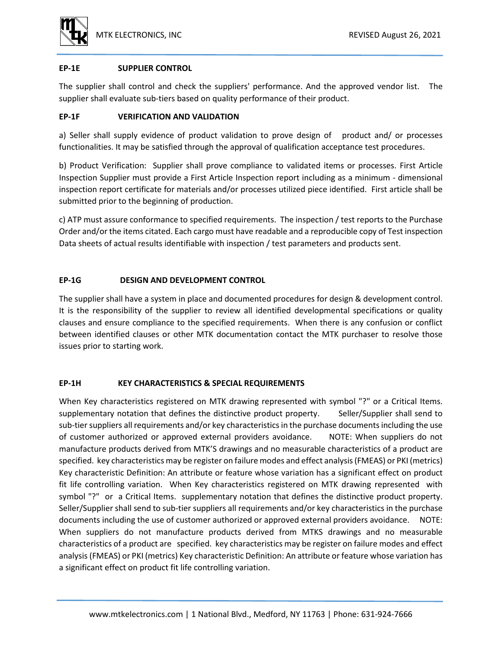

# **EP-1E SUPPLIER CONTROL**

The supplier shall control and check the suppliers' performance. And the approved vendor list. The supplier shall evaluate sub-tiers based on quality performance of their product.

# **EP-1F VERIFICATION AND VALIDATION**

a) Seller shall supply evidence of product validation to prove design of product and/ or processes functionalities. It may be satisfied through the approval of qualification acceptance test procedures.

b) Product Verification: Supplier shall prove compliance to validated items or processes. First Article Inspection Supplier must provide a First Article Inspection report including as a minimum - dimensional inspection report certificate for materials and/or processes utilized piece identified. First article shall be submitted prior to the beginning of production.

c) ATP must assure conformance to specified requirements. The inspection / test reports to the Purchase Order and/or the items citated. Each cargo must have readable and a reproducible copy of Test inspection Data sheets of actual results identifiable with inspection / test parameters and products sent.

# **EP-1G DESIGN AND DEVELOPMENT CONTROL**

The supplier shall have a system in place and documented procedures for design & development control. It is the responsibility of the supplier to review all identified developmental specifications or quality clauses and ensure compliance to the specified requirements. When there is any confusion or conflict between identified clauses or other MTK documentation contact the MTK purchaser to resolve those issues prior to starting work.

# **EP-1H KEY CHARACTERISTICS & SPECIAL REQUIREMENTS**

When Key characteristics registered on MTK drawing represented with symbol "?" or a Critical Items. supplementary notation that defines the distinctive product property. Seller/Supplier shall send to sub-tier suppliers all requirements and/or key characteristics in the purchase documents including the use of customer authorized or approved external providers avoidance. NOTE: When suppliers do not manufacture products derived from MTK'S drawings and no measurable characteristics of a product are specified. key characteristics may be register on failure modes and effect analysis (FMEAS) or PKI (metrics) Key characteristic Definition: An attribute or feature whose variation has a significant effect on product fit life controlling variation. When Key characteristics registered on MTK drawing represented with symbol "?" or a Critical Items. supplementary notation that defines the distinctive product property. Seller/Supplier shall send to sub-tier suppliers all requirements and/or key characteristics in the purchase documents including the use of customer authorized or approved external providers avoidance. NOTE: When suppliers do not manufacture products derived from MTKS drawings and no measurable characteristics of a product are specified. key characteristics may be register on failure modes and effect analysis (FMEAS) or PKI (metrics) Key characteristic Definition: An attribute or feature whose variation has a significant effect on product fit life controlling variation.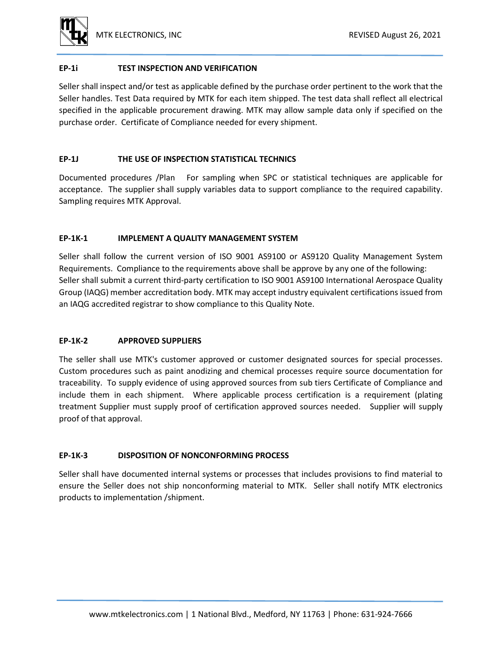

## **EP-1i TEST INSPECTION AND VERIFICATION**

Seller shall inspect and/or test as applicable defined by the purchase order pertinent to the work that the Seller handles. Test Data required by MTK for each item shipped. The test data shall reflect all electrical specified in the applicable procurement drawing. MTK may allow sample data only if specified on the purchase order. Certificate of Compliance needed for every shipment.

## **EP-1J THE USE OF INSPECTION STATISTICAL TECHNICS**

Documented procedures /Plan For sampling when SPC or statistical techniques are applicable for acceptance. The supplier shall supply variables data to support compliance to the required capability. Sampling requires MTK Approval.

# **EP-1K-1 IMPLEMENT A QUALITY MANAGEMENT SYSTEM**

Seller shall follow the current version of ISO 9001 AS9100 or AS9120 Quality Management System Requirements. Compliance to the requirements above shall be approve by any one of the following: Seller shall submit a current third-party certification to ISO 9001 AS9100 International Aerospace Quality Group (IAQG) member accreditation body. MTK may accept industry equivalent certifications issued from an IAQG accredited registrar to show compliance to this Quality Note.

# **EP-1K-2 APPROVED SUPPLIERS**

The seller shall use MTK's customer approved or customer designated sources for special processes. Custom procedures such as paint anodizing and chemical processes require source documentation for traceability. To supply evidence of using approved sources from sub tiers Certificate of Compliance and include them in each shipment. Where applicable process certification is a requirement (plating treatment Supplier must supply proof of certification approved sources needed. Supplier will supply proof of that approval.

# **EP-1K-3 DISPOSITION OF NONCONFORMING PROCESS**

Seller shall have documented internal systems or processes that includes provisions to find material to ensure the Seller does not ship nonconforming material to MTK. Seller shall notify MTK electronics products to implementation /shipment.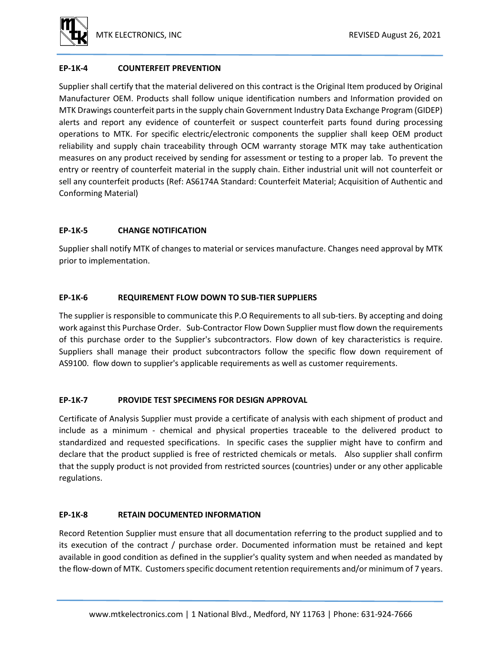

# **EP-1K-4 COUNTERFEIT PREVENTION**

Supplier shall certify that the material delivered on this contract is the Original Item produced by Original Manufacturer OEM. Products shall follow unique identification numbers and Information provided on MTK Drawings counterfeit parts in the supply chain Government Industry Data Exchange Program (GIDEP) alerts and report any evidence of counterfeit or suspect counterfeit parts found during processing operations to MTK. For specific electric/electronic components the supplier shall keep OEM product reliability and supply chain traceability through OCM warranty storage MTK may take authentication measures on any product received by sending for assessment or testing to a proper lab. To prevent the entry or reentry of counterfeit material in the supply chain. Either industrial unit will not counterfeit or sell any counterfeit products (Ref: AS6174A Standard: Counterfeit Material; Acquisition of Authentic and Conforming Material)

# **EP-1K-5 CHANGE NOTIFICATION**

Supplier shall notify MTK of changes to material or services manufacture. Changes need approval by MTK prior to implementation.

# **EP-1K-6 REQUIREMENT FLOW DOWN TO SUB-TIER SUPPLIERS**

The supplier is responsible to communicate this P.O Requirements to all sub-tiers. By accepting and doing work against this Purchase Order. Sub-Contractor Flow Down Supplier must flow down the requirements of this purchase order to the Supplier's subcontractors. Flow down of key characteristics is require. Suppliers shall manage their product subcontractors follow the specific flow down requirement of AS9100. flow down to supplier's applicable requirements as well as customer requirements.

## **EP-1K-7 PROVIDE TEST SPECIMENS FOR DESIGN APPROVAL**

Certificate of Analysis Supplier must provide a certificate of analysis with each shipment of product and include as a minimum - chemical and physical properties traceable to the delivered product to standardized and requested specifications. In specific cases the supplier might have to confirm and declare that the product supplied is free of restricted chemicals or metals. Also supplier shall confirm that the supply product is not provided from restricted sources (countries) under or any other applicable regulations.

## **EP-1K-8 RETAIN DOCUMENTED INFORMATION**

Record Retention Supplier must ensure that all documentation referring to the product supplied and to its execution of the contract / purchase order. Documented information must be retained and kept available in good condition as defined in the supplier's quality system and when needed as mandated by the flow-down of MTK. Customers specific document retention requirements and/or minimum of 7 years.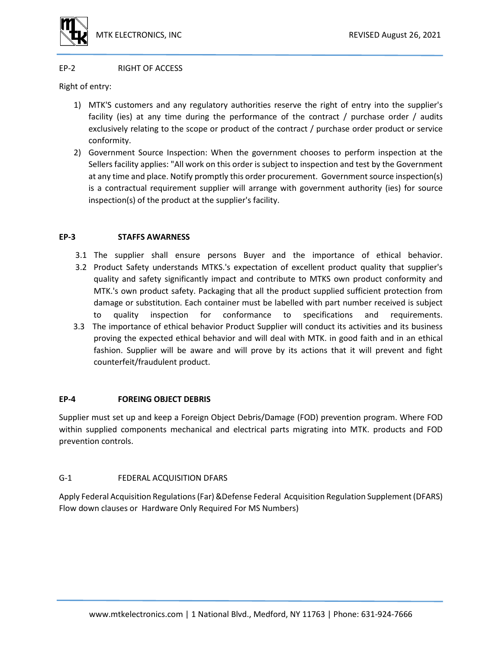

#### EP-2 RIGHT OF ACCESS

Right of entry:

- 1) MTK'S customers and any regulatory authorities reserve the right of entry into the supplier's facility (ies) at any time during the performance of the contract / purchase order / audits exclusively relating to the scope or product of the contract / purchase order product or service conformity.
- 2) Government Source Inspection: When the government chooses to perform inspection at the Sellers facility applies: "All work on this order is subject to inspection and test by the Government at any time and place. Notify promptly this order procurement. Government source inspection(s) is a contractual requirement supplier will arrange with government authority (ies) for source inspection(s) of the product at the supplier's facility.

## **EP-3 STAFFS AWARNESS**

- 3.1 The supplier shall ensure persons Buyer and the importance of ethical behavior.
- 3.2 Product Safety understands MTKS.'s expectation of excellent product quality that supplier's quality and safety significantly impact and contribute to MTKS own product conformity and MTK.'s own product safety. Packaging that all the product supplied sufficient protection from damage or substitution. Each container must be labelled with part number received is subject to quality inspection for conformance to specifications and requirements.
- 3.3 The importance of ethical behavior Product Supplier will conduct its activities and its business proving the expected ethical behavior and will deal with MTK. in good faith and in an ethical fashion. Supplier will be aware and will prove by its actions that it will prevent and fight counterfeit/fraudulent product.

## **EP-4 FOREING OBJECT DEBRIS**

Supplier must set up and keep a Foreign Object Debris/Damage (FOD) prevention program. Where FOD within supplied components mechanical and electrical parts migrating into MTK. products and FOD prevention controls.

## G-1 FEDERAL ACQUISITION DFARS

Apply Federal Acquisition Regulations (Far) &Defense Federal Acquisition Regulation Supplement (DFARS) Flow down clauses or Hardware Only Required For MS Numbers)